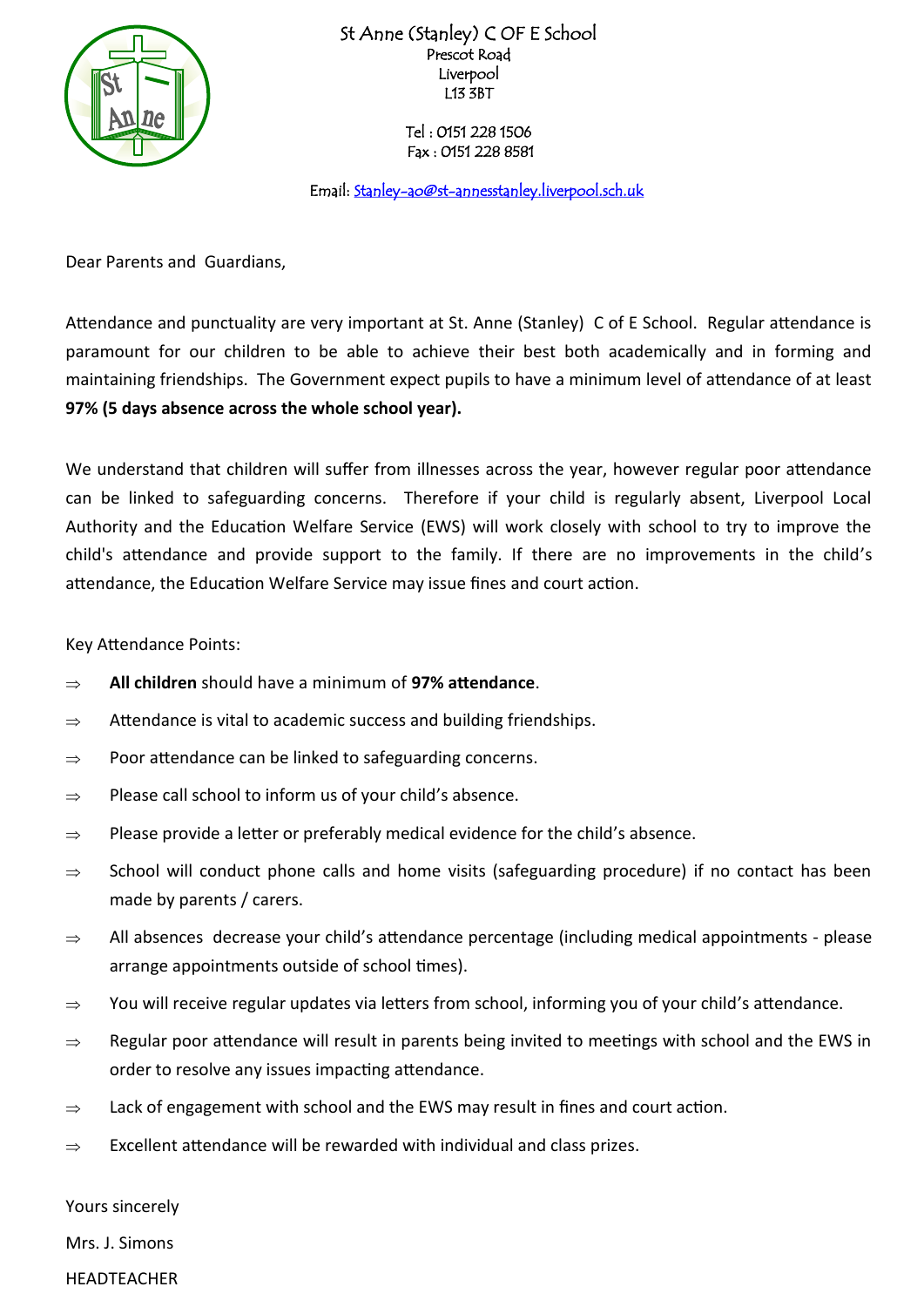

St Anne (Stanley) C OF E School Prescot Road Liverpool L13 3BT

> Tel : 0151 228 1506 Fax : 0151 228 8581

Email: Stanley-ao@st-annesstanley.liverpool.sch.uk

Dear Parents and Guardians,

Attendance and punctuality are very important at St. Anne (Stanley) C of E School. Regular attendance is paramount for our children to be able to achieve their best both academically and in forming and maintaining friendships. The Government expect pupils to have a minimum level of attendance of at least **97% (5 days absence across the whole school year).**

We understand that children will suffer from illnesses across the year, however regular poor attendance can be linked to safeguarding concerns. Therefore if your child is regularly absent, Liverpool Local Authority and the Education Welfare Service (EWS) will work closely with school to try to improve the child's attendance and provide support to the family. If there are no improvements in the child's attendance, the Education Welfare Service may issue fines and court action.

Key Attendance Points:

- **All children** should have a minimum of **97% attendance**.
- $\Rightarrow$  Attendance is vital to academic success and building friendships.
- $\Rightarrow$  Poor attendance can be linked to safeguarding concerns.
- $\Rightarrow$  Please call school to inform us of your child's absence.
- $\Rightarrow$  Please provide a letter or preferably medical evidence for the child's absence.
- $\Rightarrow$  School will conduct phone calls and home visits (safeguarding procedure) if no contact has been made by parents / carers.
- $\Rightarrow$  All absences decrease your child's attendance percentage (including medical appointments please arrange appointments outside of school times).
- $\Rightarrow$  You will receive regular updates via letters from school, informing you of your child's attendance.
- $\Rightarrow$  Regular poor attendance will result in parents being invited to meetings with school and the EWS in order to resolve any issues impacting attendance.
- $\Rightarrow$  Lack of engagement with school and the EWS may result in fines and court action.
- $\Rightarrow$  Excellent attendance will be rewarded with individual and class prizes.

Yours sincerely

Mrs. J. Simons

HEADTEACHER